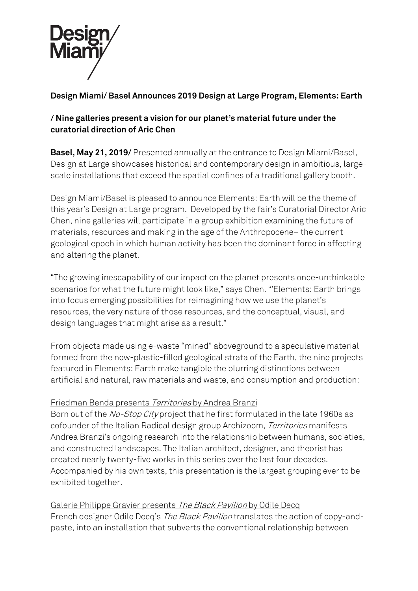

# **Design Miami/ Basel Announces 2019 Design at Large Program, Elements: Earth**

## **/ Nine galleries present a vision for our planet's material future under the curatorial direction of Aric Chen**

**Basel, May 21, 2019/** Presented annually at the entrance to Design Miami/Basel, Design at Large showcases historical and contemporary design in ambitious, largescale installations that exceed the spatial confines of a traditional gallery booth.

Design Miami/Basel is pleased to announce Elements: Earth will be the theme of this year's Design at Large program. Developed by the fair's Curatorial Director Aric Chen, nine galleries will participate in a group exhibition examining the future of materials, resources and making in the age of the Anthropocene– the current geological epoch in which human activity has been the dominant force in affecting and altering the planet.

"The growing inescapability of our impact on the planet presents once-unthinkable scenarios for what the future might look like," says Chen. "'Elements: Earth brings into focus emerging possibilities for reimagining how we use the planet's resources, the very nature of those resources, and the conceptual, visual, and design languages that might arise as a result."

From objects made using e-waste "mined" aboveground to a speculative material formed from the now-plastic-filled geological strata of the Earth, the nine projects featured in Elements: Earth make tangible the blurring distinctions between artificial and natural, raw materials and waste, and consumption and production:

## Friedman Benda presents Territories by Andrea Branzi

Born out of the No-Stop City project that he first formulated in the late 1960s as cofounder of the Italian Radical design group Archizoom, Territories manifests Andrea Branzi's ongoing research into the relationship between humans, societies, and constructed landscapes. The Italian architect, designer, and theorist has created nearly twenty-five works in this series over the last four decades. Accompanied by his own texts, this presentation is the largest grouping ever to be exhibited together.

## Galerie Philippe Gravier presents The Black Pavilion by Odile Decq

French designer Odile Decq's The Black Pavilion translates the action of copy-andpaste, into an installation that subverts the conventional relationship between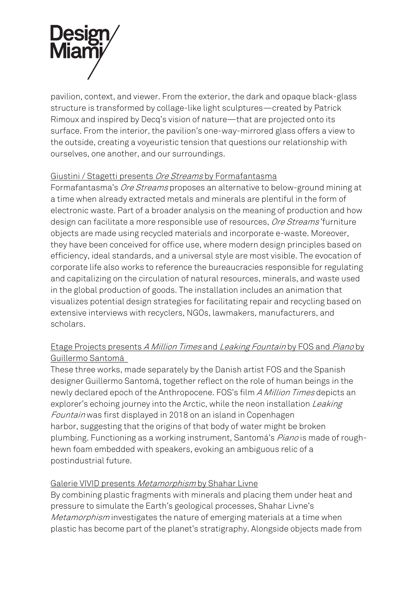

pavilion, context, and viewer. From the exterior, the dark and opaque black-glass structure is transformed by collage-like light sculptures—created by Patrick Rimoux and inspired by Decq's vision of nature—that are projected onto its surface. From the interior, the pavilion's one-way-mirrored glass offers a view to the outside, creating a voyeuristic tension that questions our relationship with ourselves, one another, and our surroundings.

### Giustini / Stagetti presents Ore Streams by Formafantasma

Formafantasma's Ore Streams proposes an alternative to below-ground mining at a time when already extracted metals and minerals are plentiful in the form of electronic waste. Part of a broader analysis on the meaning of production and how design can facilitate a more responsible use of resources, Ore Streams' furniture objects are made using recycled materials and incorporate e-waste. Moreover, they have been conceived for office use, where modern design principles based on efficiency, ideal standards, and a universal style are most visible. The evocation of corporate life also works to reference the bureaucracies responsible for regulating and capitalizing on the circulation of natural resources, minerals, and waste used in the global production of goods. The installation includes an animation that visualizes potential design strategies for facilitating repair and recycling based on extensive interviews with recyclers, NGOs, lawmakers, manufacturers, and scholars.

## Etage Projects presents A Million Times and Leaking Fountain by FOS and Piano by Guillermo Santomá

These three works, made separately by the Danish artist FOS and the Spanish designer Guillermo Santomá, together reflect on the role of human beings in the newly declared epoch of the Anthropocene. FOS's film A Million Times depicts an explorer's echoing journey into the Arctic, while the neon installation *Leaking* Fountain was first displayed in 2018 on an island in Copenhagen harbor, suggesting that the origins of that body of water might be broken plumbing. Functioning as a working instrument, Santomá's *Piano* is made of roughhewn foam embedded with speakers, evoking an ambiguous relic of a postindustrial future.

#### Galerie VIVID presents Metamorphism by Shahar Livne

By combining plastic fragments with minerals and placing them under heat and pressure to simulate the Earth's geological processes, Shahar Livne's Metamorphism investigates the nature of emerging materials at a time when plastic has become part of the planet's stratigraphy. Alongside objects made from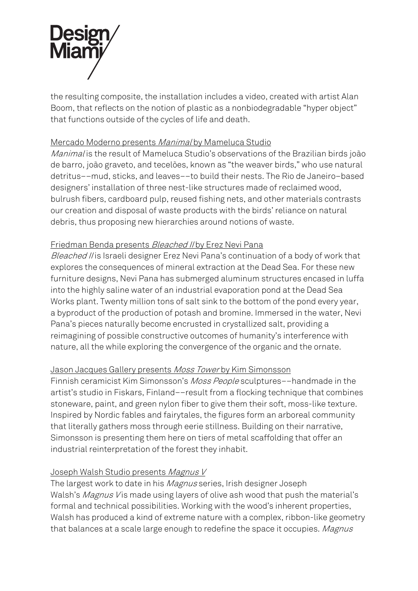

the resulting composite, the installation includes a video, created with artist Alan Boom, that reflects on the notion of plastic as a nonbiodegradable "hyper object" that functions outside of the cycles of life and death.

### Mercado Moderno presents Manimal by Mameluca Studio

Manimal is the result of Mameluca Studio's observations of the Brazilian birds joão de barro, joão graveto, and tecelões, known as "the weaver birds," who use natural detritus––mud, sticks, and leaves––to build their nests. The Rio de Janeiro–based designers' installation of three nest-like structures made of reclaimed wood, bulrush fibers, cardboard pulp, reused fishing nets, and other materials contrasts our creation and disposal of waste products with the birds' reliance on natural debris, thus proposing new hierarchies around notions of waste.

### Friedman Benda presents Bleached II by Erez Nevi Pana

Bleached II is Israeli designer Erez Nevi Pana's continuation of a body of work that explores the consequences of mineral extraction at the Dead Sea. For these new furniture designs, Nevi Pana has submerged aluminum structures encased in luffa into the highly saline water of an industrial evaporation pond at the Dead Sea Works plant. Twenty million tons of salt sink to the bottom of the pond every year, a byproduct of the production of potash and bromine. Immersed in the water, Nevi Pana's pieces naturally become encrusted in crystallized salt, providing a reimagining of possible constructive outcomes of humanity's interference with nature, all the while exploring the convergence of the organic and the ornate.

#### Jason Jacques Gallery presents Moss Tower by Kim Simonsson

Finnish ceramicist Kim Simonsson's Moss People sculptures––handmade in the artist's studio in Fiskars, Finland––result from a flocking technique that combines stoneware, paint, and green nylon fiber to give them their soft, moss-like texture. Inspired by Nordic fables and fairytales, the figures form an arboreal community that literally gathers moss through eerie stillness. Building on their narrative, Simonsson is presenting them here on tiers of metal scaffolding that offer an industrial reinterpretation of the forest they inhabit.

#### Joseph Walsh Studio presents Magnus V

The largest work to date in his *Magnus* series, Irish designer Joseph Walsh's Magnus V is made using layers of olive ash wood that push the material's formal and technical possibilities. Working with the wood's inherent properties, Walsh has produced a kind of extreme nature with a complex, ribbon-like geometry that balances at a scale large enough to redefine the space it occupies. Magnus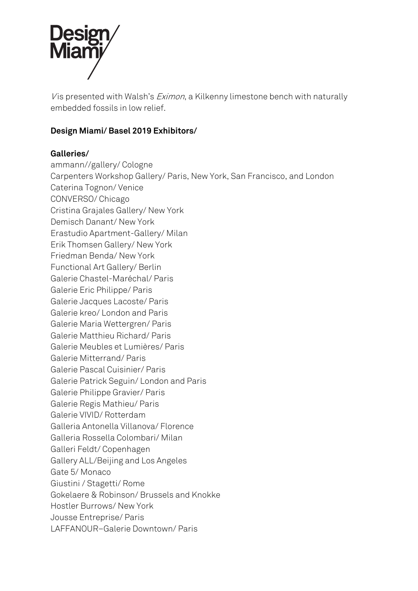

V is presented with Walsh's *Eximon*, a Kilkenny limestone bench with naturally embedded fossils in low relief.

## **Design Miami/ Basel 2019 Exhibitors/**

## **Galleries/**

ammann//gallery/ Cologne Carpenters Workshop Gallery/ Paris, New York, San Francisco, and London Caterina Tognon/ Venice CONVERSO/ Chicago Cristina Grajales Gallery/ New York Demisch Danant/ New York Erastudio Apartment-Gallery/ Milan Erik Thomsen Gallery/ New York Friedman Benda/ New York Functional Art Gallery/ Berlin Galerie Chastel-Maréchal/ Paris Galerie Eric Philippe/ Paris Galerie Jacques Lacoste/ Paris Galerie kreo/ London and Paris Galerie Maria Wettergren/ Paris Galerie Matthieu Richard/ Paris Galerie Meubles et Lumières/ Paris Galerie Mitterrand/ Paris Galerie Pascal Cuisinier/ Paris Galerie Patrick Seguin/ London and Paris Galerie Philippe Gravier/ Paris Galerie Regis Mathieu/ Paris Galerie VIVID/ Rotterdam Galleria Antonella Villanova/ Florence Galleria Rossella Colombari/ Milan Galleri Feldt/ Copenhagen Gallery ALL/Beijing and Los Angeles Gate 5/ Monaco Giustini / Stagetti/ Rome Gokelaere & Robinson/ Brussels and Knokke Hostler Burrows/ New York Jousse Entreprise/ Paris LAFFANOUR–Galerie Downtown/ Paris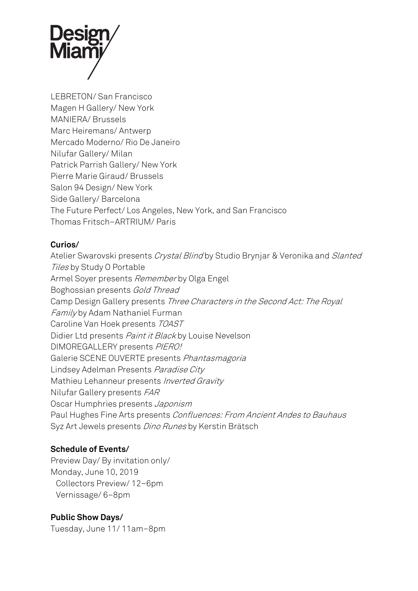

LEBRETON/ San Francisco Magen H Gallery/ New York MANIERA/ Brussels Marc Heiremans/ Antwerp Mercado Moderno/ Rio De Janeiro Nilufar Gallery/ Milan Patrick Parrish Gallery/ New York Pierre Marie Giraud/ Brussels Salon 94 Design/ New York Side Gallery/ Barcelona The Future Perfect/ Los Angeles, New York, and San Francisco Thomas Fritsch–ARTRIUM/ Paris

### **Curios/**

Atelier Swarovski presents Crystal Blind by Studio Brynjar & Veronika and Slanted Tiles by Study O Portable Armel Soyer presents Remember by Olga Engel Boghossian presents Gold Thread Camp Design Gallery presents Three Characters in the Second Act: The Royal Family by Adam Nathaniel Furman Caroline Van Hoek presents TOAST Didier Ltd presents Paint it Black by Louise Nevelson DIMOREGALLERY presents PIERO! Galerie SCENE OUVERTE presents Phantasmagoria Lindsey Adelman Presents Paradise City Mathieu Lehanneur presents Inverted Gravity Nilufar Gallery presents FAR Oscar Humphries presents Japonism Paul Hughes Fine Arts presents Confluences: From Ancient Andes to Bauhaus Syz Art Jewels presents Dino Runes by Kerstin Brätsch

#### **Schedule of Events/**

Preview Day/ By invitation only/ Monday, June 10, 2019 Collectors Preview/ 12–6pm Vernissage/ 6–8pm

#### **Public Show Days/**

Tuesday, June 11/ 11am–8pm